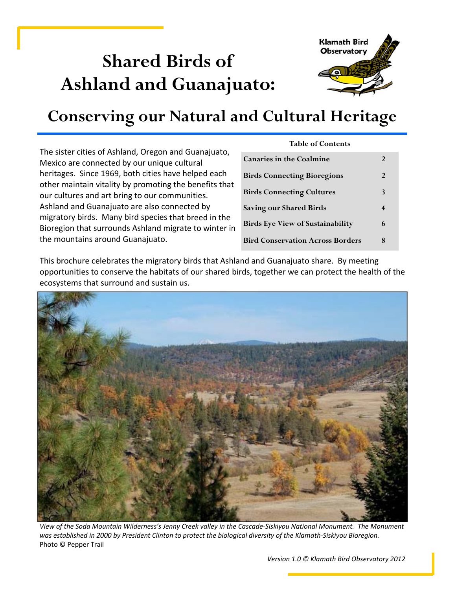# **Shared Birds of Ashland and Guanajuato:**



## **Conserving our Natural and Cultural Heritage**

The sister cities of Ashland, Oregon and Guanajuato, Mexico are connected by our unique cultural heritages. Since 1969, both cities have helped each other maintain vitality by promoting the benefits that our cultures and art bring to our communities. Ashland and Guanajuato are also connected by migratory birds. Many bird species that breed in the Bioregion that surrounds Ashland migrate to winter in the mountains around Guanajuato.

| <b>Table of Contents</b>                |   |
|-----------------------------------------|---|
| <b>Canaries in the Coalmine</b>         | 2 |
| <b>Birds Connecting Bioregions</b>      | 2 |
| <b>Birds Connecting Cultures</b>        | 3 |
| <b>Saving our Shared Birds</b>          | 4 |
| <b>Birds Eye View of Sustainability</b> | 6 |
| <b>Bird Conservation Across Borders</b> |   |

This brochure celebrates the migratory birds that Ashland and Guanajuato share. By meeting opportunities to conserve the habitats of our shared birds, together we can protect the health of the ecosystems that surround and sustain us.



View of the Soda Mountain Wilderness's Jenny Creek valley in the Cascade-Siskiyou National Monument. The Monument was established in 2000 by President Clinton to protect the biological diversity of the Klamath-Siskiyou Bioregion. Photo © Pepper Trail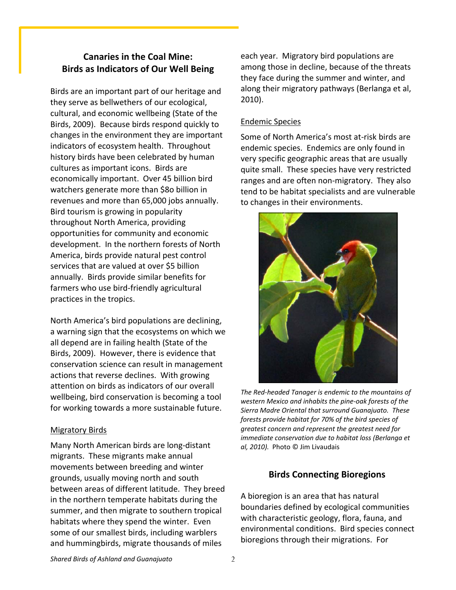### **Canaries in the Coal Mine: Birds as Indicators of Our Well Being**

Birds are an important part of our heritage and they serve as bellwethers of our ecological, cultural, and economic wellbeing (State of the Birds, 2009). Because birds respond quickly to changes in the environment they are important indicators of ecosystem health. Throughout history birds have been celebrated by human cultures as important icons. Birds are economically important. Over 45 billion bird watchers generate more than \$8o billion in revenues and more than 65,000 jobs annually. Bird tourism is growing in popularity throughout North America, providing opportunities for community and economic development. In the northern forests of North America, birds provide natural pest control services that are valued at over \$5 billion annually. Birds provide similar benefits for farmers who use bird‐friendly agricultural practices in the tropics.

North America's bird populations are declining, a warning sign that the ecosystems on which we all depend are in failing health (State of the Birds, 2009). However, there is evidence that conservation science can result in management actions that reverse declines. With growing attention on birds as indicators of our overall wellbeing, bird conservation is becoming a tool for working towards a more sustainable future.

#### Migratory Birds

Many North American birds are long‐distant migrants. These migrants make annual movements between breeding and winter grounds, usually moving north and south between areas of different latitude. They breed in the northern temperate habitats during the summer, and then migrate to southern tropical habitats where they spend the winter. Even some of our smallest birds, including warblers and hummingbirds, migrate thousands of miles

each year. Migratory bird populations are among those in decline, because of the threats they face during the summer and winter, and along their migratory pathways (Berlanga et al, 2010).

#### Endemic Species

Some of North America's most at‐risk birds are endemic species. Endemics are only found in very specific geographic areas that are usually quite small. These species have very restricted ranges and are often non‐migratory. They also tend to be habitat specialists and are vulnerable to changes in their environments.



*The Red‐headed Tanager is endemic to the mountains of western Mexico and inhabits the pine‐oak forests of the Sierra Madre Oriental that surround Guanajuato. These forests provide habitat for 70% of the bird species of greatest concern and represent the greatest need for immediate conservation due to habitat loss (Berlanga et al, 2010).* Photo © Jim Livaudais

### **Birds Connecting Bioregions**

A bioregion is an area that has natural boundaries defined by ecological communities with characteristic geology, flora, fauna, and environmental conditions. Bird species connect bioregions through their migrations. For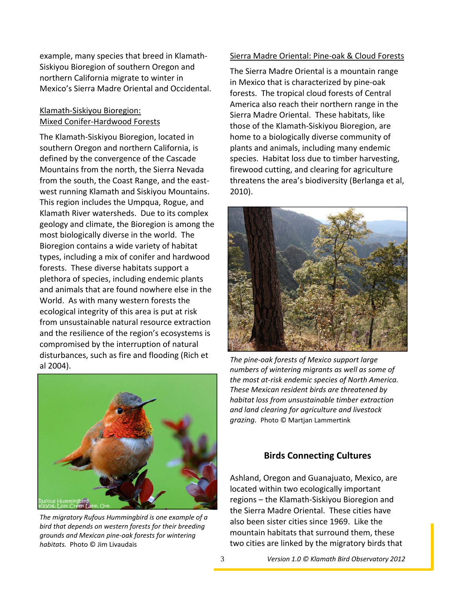example, many species that breed in Klamath‐ Siskiyou Bioregion of southern Oregon and northern California migrate to winter in Mexico's Sierra Madre Oriental and Occidental.

#### Klamath‐Siskiyou Bioregion: Mixed Conifer‐Hardwood Forests

The Klamath‐Siskiyou Bioregion, located in southern Oregon and northern California, is defined by the convergence of the Cascade Mountains from the north, the Sierra Nevada from the south, the Coast Range, and the east‐ west running Klamath and Siskiyou Mountains. This region includes the Umpqua, Rogue, and Klamath River watersheds. Due to its complex geology and climate, the Bioregion is among the most biologically diverse in the world. The Bioregion contains a wide variety of habitat types, including a mix of conifer and hardwood forests. These diverse habitats support a plethora of species, including endemic plants and animals that are found nowhere else in the World. As with many western forests the ecological integrity of this area is put at risk from unsustainable natural resource extraction and the resilience of the region's ecosystems is compromised by the interruption of natural disturbances, such as fire and flooding (Rich et al 2004).



*The migratory Rufous Hummingbird is one example of a bird that depends on western forests for their breeding grounds and Mexican pine‐oak forests for wintering habitats.* Photo © Jim Livaudais

#### Sierra Madre Oriental: Pine‐oak & Cloud Forests

The Sierra Madre Oriental is a mountain range in Mexico that is characterized by pine‐oak forests. The tropical cloud forests of Central America also reach their northern range in the Sierra Madre Oriental. These habitats, like those of the Klamath‐Siskiyou Bioregion, are home to a biologically diverse community of plants and animals, including many endemic species. Habitat loss due to timber harvesting, firewood cutting, and clearing for agriculture threatens the area's biodiversity (Berlanga et al, 2010).



*The pine‐oak forests of Mexico support large numbers of wintering migrants as well as some of the most at‐risk endemic species of North America. These Mexican resident birds are threatened by habitat loss from unsustainable timber extraction and land clearing for agriculture and livestock grazing.* Photo © Martjan Lammertink

#### **Birds Connecting Cultures**

Ashland, Oregon and Guanajuato, Mexico, are located within two ecologically important regions – the Klamath‐Siskiyou Bioregion and the Sierra Madre Oriental. These cities have also been sister cities since 1969. Like the mountain habitats that surround them, these two cities are linked by the migratory birds that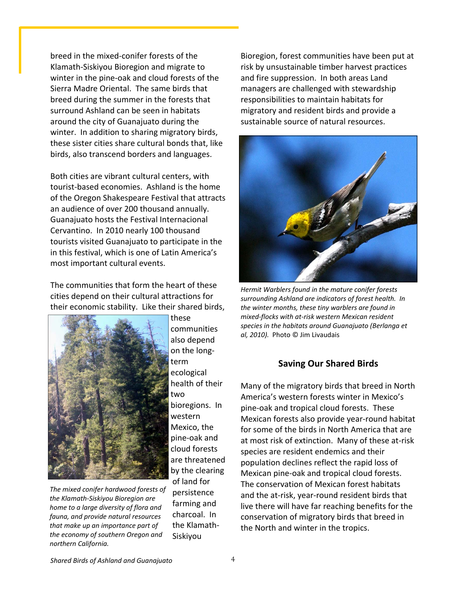breed in the mixed‐conifer forests of the Klamath‐Siskiyou Bioregion and migrate to winter in the pine‐oak and cloud forests of the Sierra Madre Oriental. The same birds that breed during the summer in the forests that surround Ashland can be seen in habitats around the city of Guanajuato during the winter. In addition to sharing migratory birds, these sister cities share cultural bonds that, like birds, also transcend borders and languages.

Both cities are vibrant cultural centers, with tourist‐based economies. Ashland is the home of the Oregon Shakespeare Festival that attracts an audience of over 200 thousand annually. Guanajuato hosts the Festival Internacional Cervantino. In 2010 nearly 100 thousand tourists visited Guanajuato to participate in the in this festival, which is one of Latin America's most important cultural events.

The communities that form the heart of these cities depend on their cultural attractions for their economic stability. Like their shared birds,



*The mixed conifer hardwood forests of the Klamath‐Siskiyou Bioregion are home to a large diversity of flora and fauna, and provide natural resources that make up an importance part of the economy of southern Oregon and northern California.*

communities also depend on the long‐ term ecological health of their two bioregions. In western Mexico, the pine‐oak and cloud forests are threatened by the clearing of land for persistence farming and charcoal. In the Klamath‐ Siskiyou

these

Bioregion, forest communities have been put at risk by unsustainable timber harvest practices and fire suppression. In both areas Land managers are challenged with stewardship responsibilities to maintain habitats for migratory and resident birds and provide a sustainable source of natural resources.



*Hermit Warblers found in the mature conifer forests surrounding Ashland are indicators of forest health. In the winter months, these tiny warblers are found in mixed‐flocks with at‐risk western Mexican resident species in the habitats around Guanajuato (Berlanga et al, 2010).* Photo © Jim Livaudais

#### **Saving Our Shared Birds**

Many of the migratory birds that breed in North America's western forests winter in Mexico's pine‐oak and tropical cloud forests. These Mexican forests also provide year‐round habitat for some of the birds in North America that are at most risk of extinction. Many of these at‐risk species are resident endemics and their population declines reflect the rapid loss of Mexican pine‐oak and tropical cloud forests. The conservation of Mexican forest habitats and the at‐risk, year‐round resident birds that live there will have far reaching benefits for the conservation of migratory birds that breed in the North and winter in the tropics.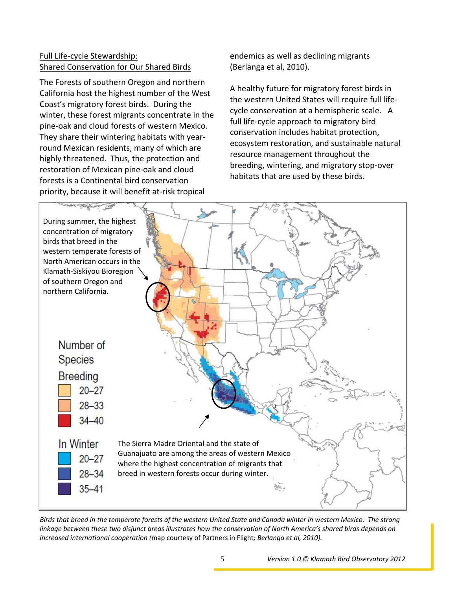#### Full Life‐cycle Stewardship: Shared Conservation for Our Shared Birds

The Forests of southern Oregon and northern California host the highest number of the West Coast's migratory forest birds. During the winter, these forest migrants concentrate in the pine‐oak and cloud forests of western Mexico. They share their wintering habitats with year‐ round Mexican residents, many of which are highly threatened. Thus, the protection and restoration of Mexican pine‐oak and cloud forests is a Continental bird conservation priority, because it will benefit at‐risk tropical

endemics as well as declining migrants (Berlanga et al, 2010).

A healthy future for migratory forest birds in the western United States will require full life‐ cycle conservation at a hemispheric scale. A full life‐cycle approach to migratory bird conservation includes habitat protection, ecosystem restoration, and sustainable natural resource management throughout the breeding, wintering, and migratory stop‐over habitats that are used by these birds.



Birds that breed in the temperate forests of the western United State and Canada winter in western Mexico. The strong linkage between these two disjunct areas illustrates how the conservation of North America's shared birds depends on *increased international cooperation (*map courtesy of Partners in Flight*; Berlanga et al, 2010).*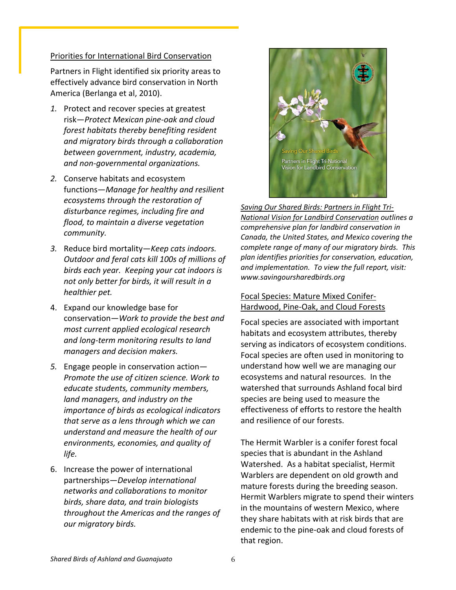#### Priorities for International Bird Conservation

Partners in Flight identified six priority areas to effectively advance bird conservation in North America (Berlanga et al, 2010).

- *1.* Protect and recover species at greatest risk—*Protect Mexican pine‐oak and cloud forest habitats thereby benefiting resident and migratory birds through a collaboration between government, industry, academia, and non‐governmental organizations.*
- *2.* Conserve habitats and ecosystem functions—*Manage for healthy and resilient ecosystems through the restoration of disturbance regimes, including fire and flood, to maintain a diverse vegetation community.*
- *3.* Reduce bird mortality—*Keep cats indoors. Outdoor and feral cats kill 100s of millions of birds each year. Keeping your cat indoors is not only better for birds, it will result in a healthier pet.*
- 4. Expand our knowledge base for conservation—*Work to provide the best and most current applied ecological research and long‐term monitoring results to land managers and decision makers.*
- *5.* Engage people in conservation action— *Promote the use of citizen science. Work to educate students, community members, land managers, and industry on the importance of birds as ecological indicators that serve as a lens through which we can understand and measure the health of our environments, economies, and quality of life.*
- 6. Increase the power of international partnerships—*Develop international networks and collaborations to monitor birds, share data, and train biologists throughout the Americas and the ranges of our migratory birds.*



*Saving Our Shared Birds: Partners in Flight Tri‐ National Vision for Landbird Conservation outlines a comprehensive plan for landbird conservation in Canada, the United States, and Mexico covering the complete range of many of our migratory birds. This plan identifies priorities for conservation, education, and implementation. To view the full report, visit: www.savingoursharedbirds.org* 

#### Focal Species: Mature Mixed Conifer‐ Hardwood, Pine‐Oak, and Cloud Forests

Focal species are associated with important habitats and ecosystem attributes, thereby serving as indicators of ecosystem conditions. Focal species are often used in monitoring to understand how well we are managing our ecosystems and natural resources. In the watershed that surrounds Ashland focal bird species are being used to measure the effectiveness of efforts to restore the health and resilience of our forests.

The Hermit Warbler is a conifer forest focal species that is abundant in the Ashland Watershed. As a habitat specialist, Hermit Warblers are dependent on old growth and mature forests during the breeding season. Hermit Warblers migrate to spend their winters in the mountains of western Mexico, where they share habitats with at risk birds that are endemic to the pine‐oak and cloud forests of that region.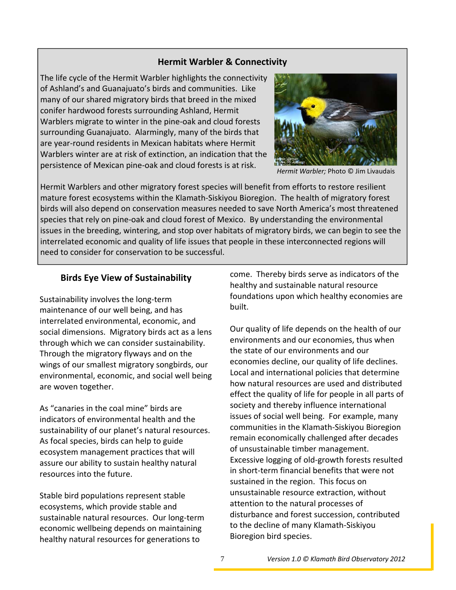#### **Hermit Warbler & Connectivity**

The life cycle of the Hermit Warbler highlights the connectivity of Ashland's and Guanajuato's birds and communities. Like many of our shared migratory birds that breed in the mixed conifer hardwood forests surrounding Ashland, Hermit Warblers migrate to winter in the pine‐oak and cloud forests surrounding Guanajuato. Alarmingly, many of the birds that are year‐round residents in Mexican habitats where Hermit Warblers winter are at risk of extinction, an indication that the persistence of Mexican pine‐oak and cloud forests is at risk.



*Hermit Warbler;* Photo © Jim Livaudais

Hermit Warblers and other migratory forest species will benefit from efforts to restore resilient mature forest ecosystems within the Klamath‐Siskiyou Bioregion. The health of migratory forest birds will also depend on conservation measures needed to save North America's most threatened species that rely on pine-oak and cloud forest of Mexico. By understanding the environmental issues in the breeding, wintering, and stop over habitats of migratory birds, we can begin to see the interrelated economic and quality of life issues that people in these interconnected regions will need to consider for conservation to be successful.

#### **Birds Eye View of Sustainability**

Sustainability involves the long‐term maintenance of our well being, and has interrelated environmental, economic, and social dimensions. Migratory birds act as a lens through which we can consider sustainability. Through the migratory flyways and on the wings of our smallest migratory songbirds, our environmental, economic, and social well being are woven together.

As "canaries in the coal mine" birds are indicators of environmental health and the sustainability of our planet's natural resources. As focal species, birds can help to guide ecosystem management practices that will assure our ability to sustain healthy natural resources into the future.

Stable bird populations represent stable ecosystems, which provide stable and sustainable natural resources. Our long‐term economic wellbeing depends on maintaining healthy natural resources for generations to

come. Thereby birds serve as indicators of the healthy and sustainable natural resource foundations upon which healthy economies are built.

Our quality of life depends on the health of our environments and our economies, thus when the state of our environments and our economies decline, our quality of life declines. Local and international policies that determine how natural resources are used and distributed effect the quality of life for people in all parts of society and thereby influence international issues of social well being. For example, many communities in the Klamath‐Siskiyou Bioregion remain economically challenged after decades of unsustainable timber management. Excessive logging of old‐growth forests resulted in short‐term financial benefits that were not sustained in the region. This focus on unsustainable resource extraction, without attention to the natural processes of disturbance and forest succession, contributed to the decline of many Klamath‐Siskiyou Bioregion bird species.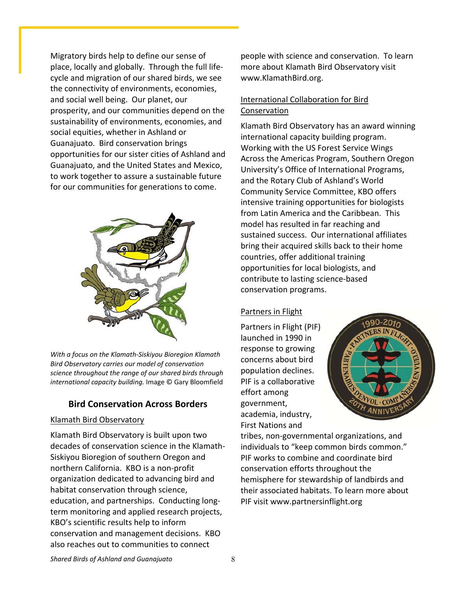Migratory birds help to define our sense of place, locally and globally. Through the full life‐ cycle and migration of our shared birds, we see the connectivity of environments, economies, and social well being. Our planet, our prosperity, and our communities depend on the sustainability of environments, economies, and social equities, whether in Ashland or Guanajuato. Bird conservation brings opportunities for our sister cities of Ashland and Guanajuato, and the United States and Mexico, to work together to assure a sustainable future for our communities for generations to come.



*With a focus on the Klamath‐Siskiyou Bioregion Klamath Bird Observatory carries our model of conservation science throughout the range of our shared birds through international capacity building.* Image © Gary Bloomfield

### **Bird Conservation Across Borders**

#### Klamath Bird Observatory

Klamath Bird Observatory is built upon two decades of conservation science in the Klamath‐ Siskiyou Bioregion of southern Oregon and northern California. KBO is a non‐profit organization dedicated to advancing bird and habitat conservation through science, education, and partnerships. Conducting long‐ term monitoring and applied research projects, KBO's scientific results help to inform conservation and management decisions. KBO also reaches out to communities to connect

people with science and conservation. To learn more about Klamath Bird Observatory visit www.KlamathBird.org.

#### International Collaboration for Bird **Conservation**

Klamath Bird Observatory has an award winning international capacity building program. Working with the US Forest Service Wings Across the Americas Program, Southern Oregon University's Office of International Programs, and the Rotary Club of Ashland's World Community Service Committee, KBO offers intensive training opportunities for biologists from Latin America and the Caribbean. This model has resulted in far reaching and sustained success. Our international affiliates bring their acquired skills back to their home countries, offer additional training opportunities for local biologists, and contribute to lasting science‐based conservation programs.

#### Partners in Flight

Partners in Flight (PIF) launched in 1990 in response to growing concerns about bird population declines. PIF is a collaborative effort among government, academia, industry, First Nations and



tribes, non‐governmental organizations, and individuals to "keep common birds common." PIF works to combine and coordinate bird conservation efforts throughout the hemisphere for stewardship of landbirds and their associated habitats. To learn more about PIF visit www.partnersinflight.org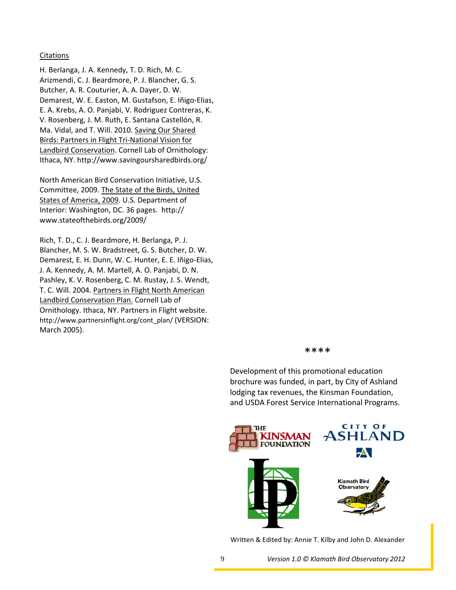#### **Citations**

H. Berlanga, J. A. Kennedy, T. D. Rich, M. C. Arizmendi, C. J. Beardmore, P. J. Blancher, G. S. Butcher, A. R. Couturier, A. A. Dayer, D. W. Demarest, W. E. Easton, M. Gustafson, E. Iñigo‐Elias, E. A. Krebs, A. O. Panjabi, V. Rodriguez Contreras, K. V. Rosenberg, J. M. Ruth, E. Santana Castellón, R. Ma. Vidal, and T. Will. 2010. Saving Our Shared Birds: Partners in Flight Tri‐National Vision for Landbird Conservation. Cornell Lab of Ornithology: Ithaca, NY. http://www.savingoursharedbirds.org/

North American Bird Conservation Initiative, U.S. Committee, 2009. The State of the Birds, United States of America, 2009. U.S. Department of Interior: Washington, DC. 36 pages. http:// www.stateofthebirds.org/2009/

Rich, T. D., C. J. Beardmore, H. Berlanga, P. J. Blancher, M. S. W. Bradstreet, G. S. Butcher, D. W. Demarest, E. H. Dunn, W. C. Hunter, E. E. Iñigo‐Elias, J. A. Kennedy, A. M. Martell, A. O. Panjabi, D. N. Pashley, K. V. Rosenberg, C. M. Rustay, J. S. Wendt, T. C. Will. 2004. Partners in Flight North American Landbird Conservation Plan. Cornell Lab of Ornithology. Ithaca, NY. Partners in Flight website. http://www.partnersinflight.org/cont\_plan/ (VERSION: March 2005).

#### \*\*\*\*

Development of this promotional education brochure was funded, in part, by City of Ashland lodging tax revenues, the Kinsman Foundation, and USDA Forest Service International Programs.



Written & Edited by: Annie T. Kilby and John D. Alexander